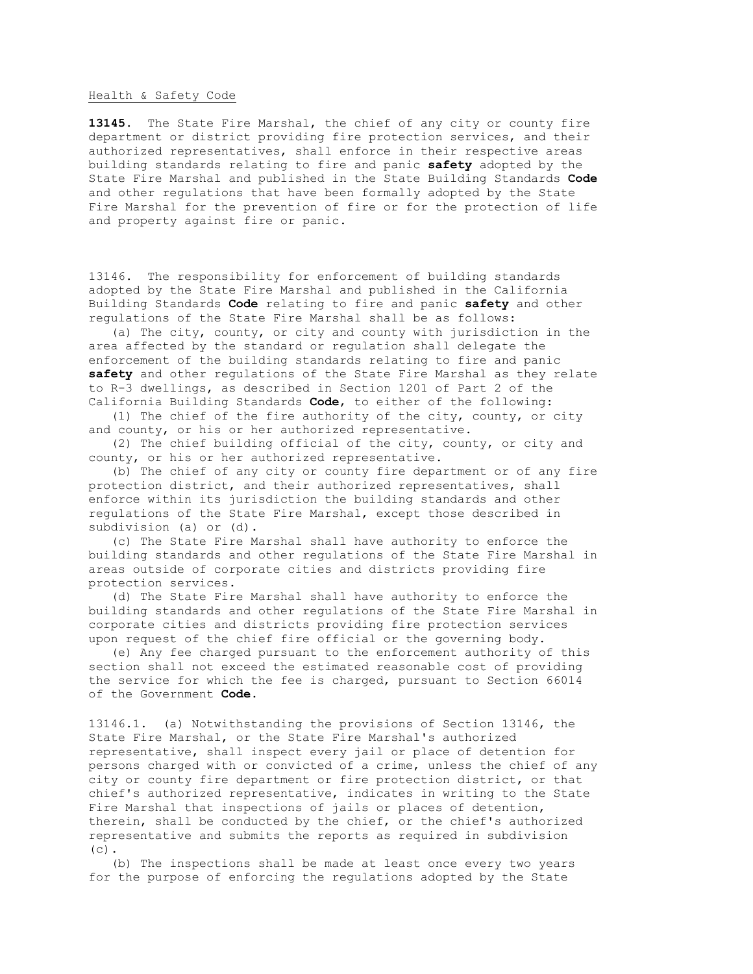## Health & Safety Code

**13145**. The State Fire Marshal, the chief of any city or county fire department or district providing fire protection services, and their authorized representatives, shall enforce in their respective areas building standards relating to fire and panic **safety** adopted by the State Fire Marshal and published in the State Building Standards **Code** and other regulations that have been formally adopted by the State Fire Marshal for the prevention of fire or for the protection of life and property against fire or panic.

13146. The responsibility for enforcement of building standards adopted by the State Fire Marshal and published in the California Building Standards **Code** relating to fire and panic **safety** and other regulations of the State Fire Marshal shall be as follows:

 (a) The city, county, or city and county with jurisdiction in the area affected by the standard or regulation shall delegate the enforcement of the building standards relating to fire and panic **safety** and other regulations of the State Fire Marshal as they relate to R-3 dwellings, as described in Section 1201 of Part 2 of the California Building Standards **Code**, to either of the following:

 (1) The chief of the fire authority of the city, county, or city and county, or his or her authorized representative.

 (2) The chief building official of the city, county, or city and county, or his or her authorized representative.

 (b) The chief of any city or county fire department or of any fire protection district, and their authorized representatives, shall enforce within its jurisdiction the building standards and other regulations of the State Fire Marshal, except those described in subdivision (a) or (d).

 (c) The State Fire Marshal shall have authority to enforce the building standards and other regulations of the State Fire Marshal in areas outside of corporate cities and districts providing fire protection services.

 (d) The State Fire Marshal shall have authority to enforce the building standards and other regulations of the State Fire Marshal in corporate cities and districts providing fire protection services upon request of the chief fire official or the governing body.

 (e) Any fee charged pursuant to the enforcement authority of this section shall not exceed the estimated reasonable cost of providing the service for which the fee is charged, pursuant to Section 66014 of the Government **Code**.

13146.1. (a) Notwithstanding the provisions of Section 13146, the State Fire Marshal, or the State Fire Marshal's authorized representative, shall inspect every jail or place of detention for persons charged with or convicted of a crime, unless the chief of any city or county fire department or fire protection district, or that chief's authorized representative, indicates in writing to the State Fire Marshal that inspections of jails or places of detention, therein, shall be conducted by the chief, or the chief's authorized representative and submits the reports as required in subdivision  $(c)$ .

 (b) The inspections shall be made at least once every two years for the purpose of enforcing the regulations adopted by the State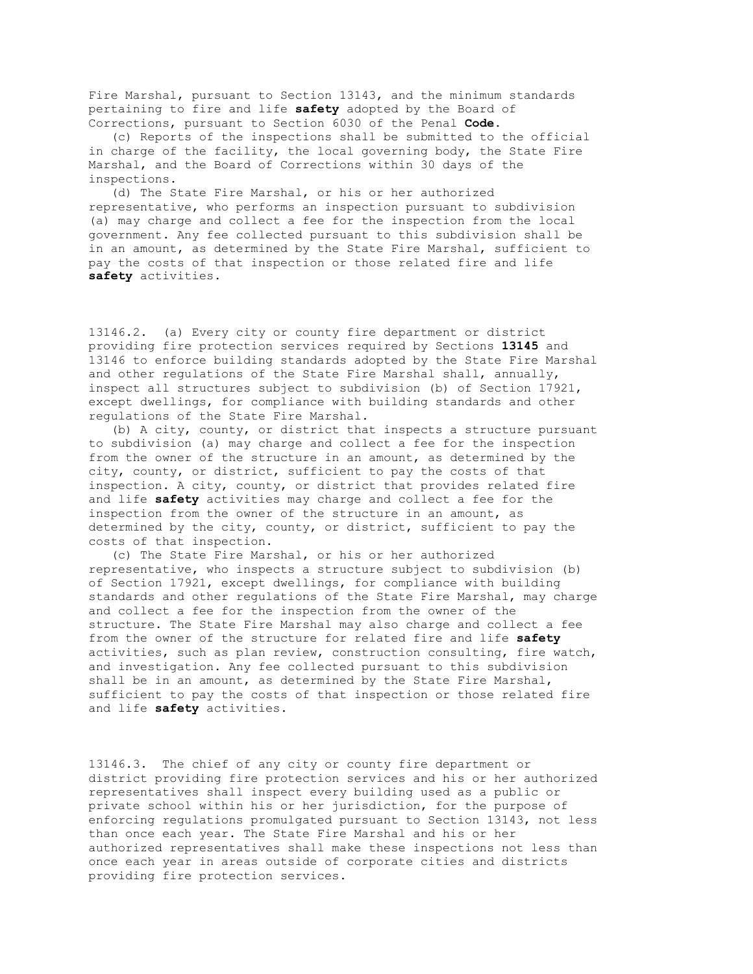Fire Marshal, pursuant to Section 13143, and the minimum standards pertaining to fire and life **safety** adopted by the Board of Corrections, pursuant to Section 6030 of the Penal **Code**.

 (c) Reports of the inspections shall be submitted to the official in charge of the facility, the local governing body, the State Fire Marshal, and the Board of Corrections within 30 days of the inspections.

 (d) The State Fire Marshal, or his or her authorized representative, who performs an inspection pursuant to subdivision (a) may charge and collect a fee for the inspection from the local government. Any fee collected pursuant to this subdivision shall be in an amount, as determined by the State Fire Marshal, sufficient to pay the costs of that inspection or those related fire and life **safety** activities.

13146.2. (a) Every city or county fire department or district providing fire protection services required by Sections **13145** and 13146 to enforce building standards adopted by the State Fire Marshal and other regulations of the State Fire Marshal shall, annually, inspect all structures subject to subdivision (b) of Section 17921, except dwellings, for compliance with building standards and other regulations of the State Fire Marshal.

 (b) A city, county, or district that inspects a structure pursuant to subdivision (a) may charge and collect a fee for the inspection from the owner of the structure in an amount, as determined by the city, county, or district, sufficient to pay the costs of that inspection. A city, county, or district that provides related fire and life **safety** activities may charge and collect a fee for the inspection from the owner of the structure in an amount, as determined by the city, county, or district, sufficient to pay the costs of that inspection.

 (c) The State Fire Marshal, or his or her authorized representative, who inspects a structure subject to subdivision (b) of Section 17921, except dwellings, for compliance with building standards and other regulations of the State Fire Marshal, may charge and collect a fee for the inspection from the owner of the structure. The State Fire Marshal may also charge and collect a fee from the owner of the structure for related fire and life **safety** activities, such as plan review, construction consulting, fire watch, and investigation. Any fee collected pursuant to this subdivision shall be in an amount, as determined by the State Fire Marshal, sufficient to pay the costs of that inspection or those related fire and life **safety** activities.

13146.3. The chief of any city or county fire department or district providing fire protection services and his or her authorized representatives shall inspect every building used as a public or private school within his or her jurisdiction, for the purpose of enforcing regulations promulgated pursuant to Section 13143, not less than once each year. The State Fire Marshal and his or her authorized representatives shall make these inspections not less than once each year in areas outside of corporate cities and districts providing fire protection services.